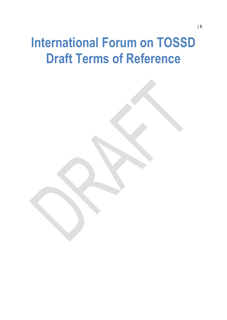## <span id="page-0-0"></span>**International Forum on TOSSD Draft Terms of Reference**

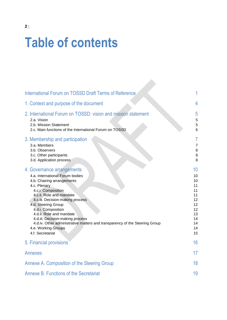## **Table of contents**

| International Forum on TOSSD Draft Terms of Reference                                                                                                                                                                                                                                                                                                                                                                                    |                                                                                  |
|------------------------------------------------------------------------------------------------------------------------------------------------------------------------------------------------------------------------------------------------------------------------------------------------------------------------------------------------------------------------------------------------------------------------------------------|----------------------------------------------------------------------------------|
| 1. Context and purpose of the document                                                                                                                                                                                                                                                                                                                                                                                                   | 4                                                                                |
| 2. International Forum on TOSSD: vision and mission statement<br>2.a. Vision<br>2.b. Mission Statement<br>2.c. Main functions of the International Forum on TOSSD                                                                                                                                                                                                                                                                        | 5<br>5<br>5<br>6                                                                 |
| 3. Membership and participation<br>3.a. Members<br>3.b. Observers<br>3.c. Other participants<br>3.d. Application process                                                                                                                                                                                                                                                                                                                 | 7<br>$\overline{7}$<br>8<br>8<br>8                                               |
| 4. Governance arrangements<br>4.a. International Forum bodies<br>4.b. Chairing arrangements<br>4.c. Plenary<br>4.c.i. Composition<br>4.c.ii. Role and mandate<br>4.c.iii. Decision-making process<br>4.d. Steering Group<br>4.d.i. Composition<br>4.d.ii. Role and mandate<br>4.d.iii. Decision-making process<br>4.d.iv. Other administrative matters and transparency of the Steering Group<br>4.e. Working Groups<br>4.f. Secretariat | 10<br>10<br>10<br>11<br>11<br>11<br>12<br>12<br>12<br>13<br>14<br>14<br>14<br>15 |
| 5. Financial provisions                                                                                                                                                                                                                                                                                                                                                                                                                  | 16                                                                               |
| <b>Annexes</b>                                                                                                                                                                                                                                                                                                                                                                                                                           | 17                                                                               |
| Annexe A. Composition of the Steering Group                                                                                                                                                                                                                                                                                                                                                                                              | 18                                                                               |
| Annexe B. Functions of the Secretariat                                                                                                                                                                                                                                                                                                                                                                                                   | 19                                                                               |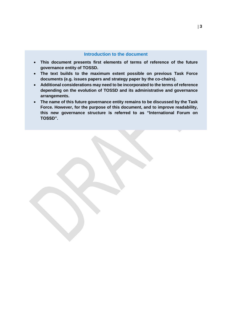#### **Introduction to the document**

- **This document presents first elements of terms of reference of the future governance entity of TOSSD.**
- **The text builds to the maximum extent possible on previous Task Force documents (e.g. issues papers and strategy paper by the co-chairs).**
- **Additional considerations may need to be incorporated to the terms of reference depending on the evolution of TOSSD and its administrative and governance arrangements.**
- **The name of this future governance entity remains to be discussed by the Task Force. However, for the purpose of this document, and to improve readability, this new governance structure is referred to as "International Forum on TOSSD".**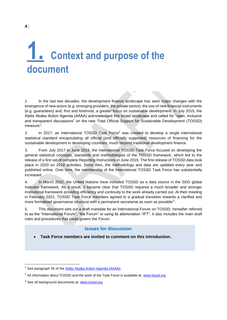## <span id="page-3-0"></span>**1. Context and purpose of the document**

1. In the last two decades, the development finance landscape has seen major changes with the emergence of new actors (e.g. emerging providers, the private sector), the use of new financial instruments (e.g. guarantees) and, first and foremost, a greater focus on sustainable development. In July 2015, the Addis Ababa Action Agenda (AAAA) acknowledged this broad landscape and called for "open, inclusive and transparent discussions" on the new Total Official Support for Sustainable Development (TOSSD) measure<sup>1</sup>.

2. In 2017, an International TOSSD Task Force<sup>2</sup> was created to develop a single international statistical standard encapsulating all official (and officially supported) resources of financing for the sustainable development in developing countries, much beyond traditional development finance.

3. From July 2017 to June 2019, the International TOSSD Task Force focused on developing the general statistical concepts, standards and methodologies of the TOSSD framework, which led to the release of a first set of complete Reporting Instructions in June 2019. The first release of TOSSD data took place in 2020 on 2019 activities. Since then, the methodology and data are updated every year and published online. Over time, the membership of the International TOSSD Task Force has substantially increased.

4. In March 2022, the United Nations have included TOSSD as a data source in the SDG global indicator framework. As a result, it became clear that TOSSD required a much broader and stronger institutional framework providing efficiency and continuity to the work already carried out. At their meeting in February 2022, TOSSD Task Force members agreed to a gradual transition towards a clarified and more formalised governance structure with a permanent secretariat as soon as possible<sup>3</sup>.

5. This document sets out a draft mandate for an International Forum on TOSSD, hereafter referred to as the "International Forum", "the Forum" or using its abbreviation "IFT". It also includes the main draft rules and procedures that could govern the Forum.

#### **Issues for discussion**

**Task Force members are invited to comment on this introduction.**

See paragraph 55 of the [Addis Ababa Action Agenda \(AAAA\).](https://digitallibrary.un.org/record/801013?ln=en)

 $2$  All information about TOSSD and the work of the Task Force is available at: www.tossd.org

<sup>&</sup>lt;sup>3</sup> See all background documents at: [www.tossd.org](http://www.tossd.org/)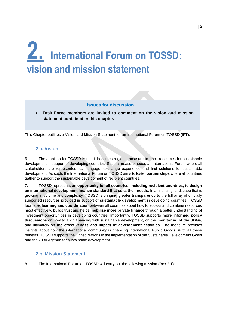## <span id="page-4-0"></span>**2. International Forum on TOSSD: vision and mission statement**

#### **Issues for discussion**

 **Task Force members are invited to comment on the vision and mission statement contained in this chapter.** 

<span id="page-4-1"></span>This Chapter outlines a Vision and Mission Statement for an International Forum on TOSSD (IFT).

#### **2.a. Vision**

6. The ambition for TOSSD is that it becomes a global measure to track resources for sustainable development in support of developing countries. Such a measure needs an International Forum where all stakeholders are represented, can engage, exchange experience and find solutions for sustainable development. As such, the International Forum on TOSSD aims to foster **partnerships** where all countries gather to support the sustainable development of recipient countries.

7. TOSSD represents **an opportunity for all countries, including recipient countries, to design an international development finance standard that suits their needs**. In a financing landscape that is growing in volume and complexity, TOSSD is bringing greater **transparency** to the full array of officially supported resources provided in support of **sustainable development** in developing countries. TOSSD facilitates **learning and coordination** between all countries about how to access and combine resources most effectively, builds trust and helps **mobilise more private finance** through a better understanding of investment opportunities in developing countries. Importantly, TOSSD supports **more informed policy discussions** on how to align financing with sustainable development, on the **monitoring of the SDGs**, and ultimately on **the effectiveness and impact of development activities**. The measure provides insights about how the international community is financing International Public Goods. With all these benefits, TOSSD supports the United Nations in the implementation of the Sustainable Development Goals and the 2030 Agenda for sustainable development.

#### <span id="page-4-2"></span>**2.b. Mission Statement**

8. The International Forum on TOSSD will carry out the following mission [\(Box](#page-5-1) 2.1):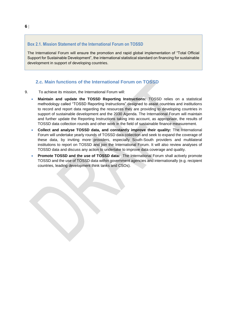#### <span id="page-5-1"></span>**Box 2.1. Mission Statement of the International Forum on TOSSD**

The International Forum will ensure the promotion and rapid global implementation of "Total Official Support for Sustainable Development", the international statistical standard on financing for sustainable development in support of developing countries.

#### <span id="page-5-0"></span>**2.c. Main functions of the International Forum on TOSSD**

- 9. To achieve its mission, the International Forum will:
	- **Maintain and update the TOSSD Reporting Instructions:** TOSSD relies on a statistical methodology called "TOSSD Reporting Instructions" designed to assist countries and institutions to record and report data regarding the resources they are providing to developing countries in support of sustainable development and the 2030 Agenda. The International Forum will maintain and further update the Reporting Instructions taking into account, as appropriate, the results of TOSSD data collection rounds and other work in the field of sustainable finance measurement.
	- **Collect and analyse TOSSD data, and constantly improve their quality:** The International Forum will undertake yearly rounds of TOSSD data collection and seek to expand the coverage of these data, by inviting more providers, especially South-South providers and multilateral institutions to report on TOSSD and join the International Forum. It will also review analyses of TOSSD data and discuss any action to undertake to improve data coverage and quality.
	- **Promote TOSSD and the use of TOSSD data:** The International Forum shall actively promote TOSSD and the use of TOSSD data within government agencies and internationally (e.g. recipient countries, leading development think tanks and CSOs).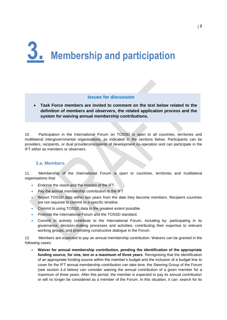# <span id="page-6-0"></span>**3. Membership and participation**

#### **Issues for discussion**

 **Task Force members are invited to comment on the text below related to the definition of members and observers, the related application process and the system for waiving annual membership contributions.** 

10. Participation in the International Forum on TOSSD is open to all countries, territories and multilateral intergovernmental organisations, as indicated in the sections below. Participants can be providers, recipients, or dual providers/recipients of development co-operation and can participate in the IFT either as members or observers.

#### <span id="page-6-1"></span>**3.a. Members**

11. Membership of the International Forum is open to countries, territories and multilateral organisations that:

- Endorse the vision and the mission of the IFT.
- Pay the annual membership contribution to the IFT.
- Report TOSSD data within two years from the date they become members. Recipient countries are not required to commit to a specific timeline.
- Commit to using TOSSD data to the greatest extent possible.
- Promote the International Forum and the TOSSD standard.
- Commit to actively contribute to the International Forum, including by: participating in its governance, decision-making processes and activities; contributing their expertise to relevant working groups; and promoting constructive dialogue in the Forum.

12. Members are expected to pay an annual membership contribution. Waivers can be granted in the following cases:

 **Waiver for annual membership contribution, pending the identification of the appropriate funding source, for one, two or a maximum of three years**. Recognising that the identification of an appropriate funding source within the member's budget and the inclusion of a budget line to cover for the IFT annual membership contribution can take time, the Steering Group of the Forum (see section [4.d](#page-11-1) below) can consider waiving the annual contribution of a given member for a maximum of three years. After this period, the member is expected to pay its annual contribution or will no longer be considered as a member of the Forum. In this situation, it can: search for its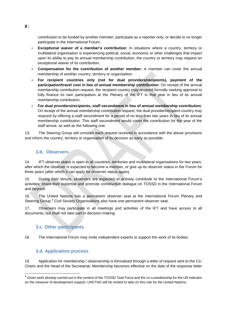contribution to be funded by another member; participate as a reporter only; or decide to no longer participate in the International Forum.

- **Exceptional waiver of a member's contribution**: In situations where a country, territory or multilateral organisation is experiencing political, social, economic or other challenges that impact upon its ability to pay its annual membership contribution, the country or territory may request an exceptional waiver of its contribution.
- **Compensation for the contribution of another member:** A member can cover the annual membership of another country, territory or organisation.
- **For recipient countries only (not for dual providers/recipients), payment of the participation/travel cost in lieu of annual membership contribution**: On receipt of the annual membership contribution request, the recipient country may respond formally seeking approval to fully finance its own participation at the Plenary of the IFT in that year in lieu of its annual membership contribution.
- **For dual providers/recipients, staff secondment in lieu of annual membership contribution**: On receipt of the annual membership contribution request, the dual provider/recipient country may respond by offering a staff secondment for a period of no less than two years in lieu of its annual membership contribution. This staff secondment would cover the contribution for the year of the staff arrival, as well as the following one.

13. The Steering Group will consider each request received in accordance with the above provisions and inform the country, territory or organisation of its decision as early as possible.

#### <span id="page-7-0"></span>**3.b. Observers**

14. IFT observer status is open to all countries, territories and multilateral organisations for two years, after which the observer is expected to become a member, or give up its observer status in the Forum for three years (after which it can apply for observer status again).

15. During their tenure, observers are expected to actively contribute to the International Forum's activities, share their expertise and promote constructive dialogue on TOSSD in the International Forum and beyond.

16. The United Nations has a permanent observer seat at the International Forum Plenary and Steering Group.<sup>4</sup> Civil Society Organisations also have one permanent observer seat.

<span id="page-7-1"></span>17. Observers may participate in all meetings and activities of the IFT and have access to all documents, but shall not take part in decision-making.

#### **3.c. Other participants**

<span id="page-7-2"></span>18. The International Forum may invite independent experts to support the work of its bodies.

#### **3.d. Application process**

19. Application for membership / observership is formalised through a letter of request sent to the Co-Chairs and the Head of the Secretariat. Membership becomes effective on the date of the response letter

<sup>&</sup>lt;sup>4</sup> Given work already carried out in the context of the TOSSD Task Force and the co-custodianship for the UN indicator on the measure of development support, UNCTAD will be invited to take on this role for the United Nations.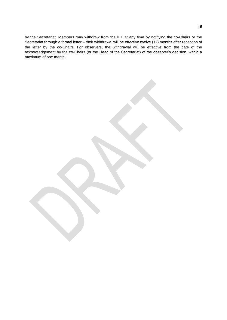by the Secretariat. Members may withdraw from the IFT at any time by notifying the co-Chairs or the Secretariat through a formal letter – their withdrawal will be effective twelve (12) months after reception of the letter by the co-Chairs. For observers, the withdrawal will be effective from the date of the acknowledgement by the co-Chairs (or the Head of the Secretariat) of the observer's decision, within a maximum of one month.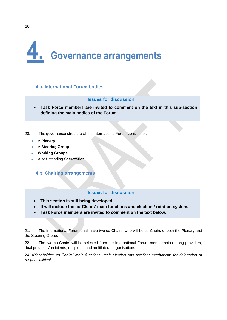# <span id="page-9-0"></span>**4. Governance arrangements**

#### <span id="page-9-1"></span>**4.a. International Forum bodies**

#### **Issues for discussion**

- **Task Force members are invited to comment on the text in this sub-section defining the main bodies of the Forum.**
- 20. The governance structure of the International Forum consists of:
	- A **Plenary**
	- A **Steering Group**
	- **Working Groups**
	- A self-standing **Secretariat**.

#### <span id="page-9-2"></span>**4.b. Chairing arrangements**

#### **Issues for discussion**

- **This section is still being developed.**
- **It will include the co-Chairs' main functions and election / rotation system.**
- **Task Force members are invited to comment on the text below.**

21. The International Forum shall have two co-Chairs, who will be co-Chairs of both the Plenary and the Steering Group.

22. The two co-Chairs will be selected from the International Forum membership among providers, dual providers/recipients, recipients and multilateral organisations.

24. *[Placeholder: co-Chairs' main functions, their election and rotation; mechanism for delegation of responsibilities].*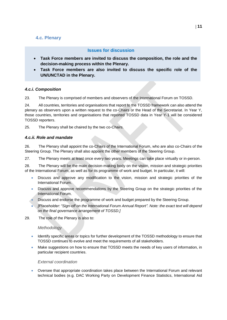#### <span id="page-10-0"></span>**4.c. Plenary**

#### **Issues for discussion**

- **Task Force members are invited to discuss the composition, the role and the decision-making process within the Plenary.**
- **Task Force members are also invited to discuss the specific role of the UN/UNCTAD in the Plenary.**

#### <span id="page-10-1"></span>*4.c.i. Composition*

23. The Plenary is comprised of members and observers of the International Forum on TOSSD.

24. All countries, territories and organisations that report to the TOSSD framework can also attend the plenary as observers upon a written request to the co-Chairs or the Head of the Secretariat. In Year Y, those countries, territories and organisations that reported TOSSD data in Year Y-1 will be considered TOSSD reporters.

25. The Plenary shall be chaired by the two co-Chairs.

#### <span id="page-10-2"></span>*4.c.ii. Role and mandate*

26. The Plenary shall appoint the co-Chairs of the International Forum, who are also co-Chairs of the Steering Group. The Plenary shall also appoint the other members of the Steering Group.

27. The Plenary meets at least once every two years. Meetings can take place virtually or in-person.

28. The Plenary will be the main decision-making body on the vision, mission and strategic priorities of the International Forum, as well as for its programme of work and budget. In particular, it will:

- Discuss and approve any modification to the vision, mission and strategic priorities of the International Forum.
- Discuss and approve recommendations by the Steering Group on the strategic priorities of the International Forum.
- Discuss and endorse the programme of work and budget prepared by the Steering Group.
- *[Placeholder: "Sign-off on the International Forum Annual Report". Note: the exact text will depend on the final governance arrangement of TOSSD.]*
- 29. The role of the Plenary is also to:

#### *Methodology*

- Identify specific areas or topics for further development of the TOSSD methodology to ensure that TOSSD continues to evolve and meet the requirements of all stakeholders.
- Make suggestions on how to ensure that TOSSD meets the needs of key users of information, in particular recipient countries.

#### *External coordination*

 Oversee that appropriate coordination takes place between the International Forum and relevant technical bodies (e.g. DAC Working Party on Development Finance Statistics, International Aid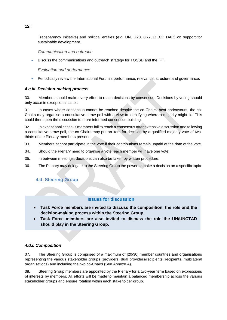Transparency Initiative) and political entities (e.g. UN, G20, G77, OECD DAC) on support for sustainable development.

*Communication and outreach*

Discuss the communications and outreach strategy for TOSSD and the IFT.

*Evaluation and performance*

Periodically review the International Forum's performance, relevance, structure and governance.

#### <span id="page-11-0"></span>*4.c.iii. Decision-making process*

30. Members should make every effort to reach decisions by consensus. Decisions by voting should only occur in exceptional cases.

31. In cases where consensus cannot be reached despite the co-Chairs' best endeavours, the co-Chairs may organise a consultative straw poll with a view to identifying where a majority might lie. This could then open the discussion to more informed consensus-building.

32. In exceptional cases, if members fail to reach a consensus after extensive discussion and following a consultative straw poll, the co-Chairs may put an item for decision by a qualified majority vote of twothirds of the Plenary members present.

- 33. Members cannot participate in the vote if their contributions remain unpaid at the date of the vote.
- 34. Should the Plenary need to organise a vote, each member will have one vote.
- 35. In between meetings, decisions can also be taken by written procedure.
- <span id="page-11-1"></span>36. The Plenary may delegate to the Steering Group the power to make a decision on a specific topic.

#### **4.d. Steering Group**

#### **Issues for discussion**

- **Task Force members are invited to discuss the composition, the role and the decision-making process within the Steering Group.**
- **Task Force members are also invited to discuss the role the UN/UNCTAD should play in the Steering Group.**

#### <span id="page-11-2"></span>*4.d.i. Composition*

37. The Steering Group is comprised of a maximum of [20/30] member countries and organisations representing the various stakeholder groups (providers, dual providers/recipients, recipients, multilateral organisations) and including the two co-Chairs (See [Annexe A\)](#page-17-0).

38. Steering Group members are appointed by the Plenary for a two-year term based on expressions of interests by members. All efforts will be made to maintain a balanced membership across the various stakeholder groups and ensure rotation within each stakeholder group.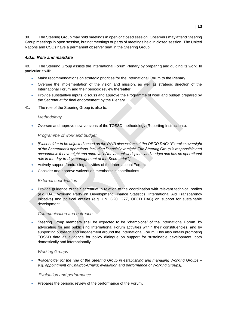39. The Steering Group may hold meetings in open or closed session. Observers may attend Steering Group meetings in open session, but not meetings or parts of meetings held in closed session. The United Nations and CSOs have a permanent observer seat in the Steering Group.

#### <span id="page-12-0"></span>*4.d.ii. Role and mandate*

40. The Steering Group assists the International Forum Plenary by preparing and guiding its work. In particular it will:

- Make recommendations on strategic priorities for the International Forum to the Plenary.
- Oversee the implementation of the vision and mission, as well as strategic direction of the International Forum and their periodic review thereafter.
- Provide substantive inputs, discuss and approve the Programme of work and budget prepared by the Secretariat for final endorsement by the Plenary.
- 41. The role of the Steering Group is also to:

#### *Methodology*

Oversee and approve new versions of the TOSSD methodology (Reporting Instructions).

#### *Programme of work and budget*

- *[Placeholder to be adjusted based on the PWB discussions at the OECD DAC: "Exercise oversight of the Secretariat's operations, including financial oversight. The Steering Group is responsible and accountable for oversight and approval of the annual work plans and budget and has no operational role in the day-to-day management of the Secretariat".]*
- Actively support fundraising activities of the International Forum.
- Consider and approve waivers on membership contributions.

#### *External coordination*

 Provide guidance to the Secretariat in relation to the coordination with relevant technical bodies (e.g. DAC Working Party on Development Finance Statistics, International Aid Transparency Initiative) and political entities (e.g. UN, G20, G77, OECD DAC) on support for sustainable development.

#### *Communication and outreach*

 Steering Group members shall be expected to be "champions" of the International Forum, by advocating for and publicising International Forum activities within their constituencies, and by supporting outreach and engagement around the International Forum. This also entails promoting TOSSD data as evidence for policy dialogue on support for sustainable development, both domestically and internationally.

#### *Working Groups*

 *[Placeholder for the role of the Steering Group in establishing and managing Working Groups – e.g. appointment of Chair/co-Chairs; evaluation and performance of Working Groups].* 

#### *Evaluation and performance*

Prepares the periodic review of the performance of the Forum.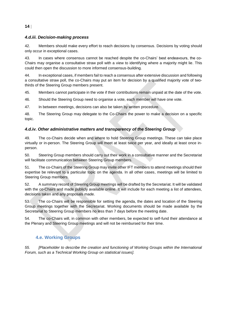#### <span id="page-13-0"></span>*4.d.iii. Decision-making process*

42. Members should make every effort to reach decisions by consensus. Decisions by voting should only occur in exceptional cases.

43. In cases where consensus cannot be reached despite the co-Chairs' best endeavours, the co-Chairs may organise a consultative straw poll with a view to identifying where a majority might lie. This could then open the discussion to more informed consensus-building.

44. In exceptional cases, if members fail to reach a consensus after extensive discussion and following a consultative straw poll, the co-Chairs may put an item for decision by a qualified majority vote of twothirds of the Steering Group members present.

45. Members cannot participate in the vote if their contributions remain unpaid at the date of the vote.

46. Should the Steering Group need to organise a vote, each member will have one vote.

47. In between meetings, decisions can also be taken by written procedure.

48. The Steering Group may delegate to the Co-Chairs the power to make a decision on a specific topic.

#### <span id="page-13-1"></span>*4.d.iv. Other administrative matters and transparency of the Steering Group*

49. The co-Chairs decide when and where to hold Steering Group meetings. These can take place virtually or in-person. The Steering Group will meet at least twice per year, and ideally at least once inperson.

50. Steering Group members should carry out their work in a consultative manner and the Secretariat will facilitate communication between Steering Group members.

51. The co-Chairs of the Steering Group may invite other IFT members to attend meetings should their expertise be relevant to a particular topic on the agenda. In all other cases, meetings will be limited to Steering Group members.

52. A summary record of Steering Group meetings will be drafted by the Secretariat. It will be validated with the co-Chairs and made publicly available online. It will include for each meeting a list of attendees, decisions taken and any proposals made.

53. The co-Chairs will be responsible for setting the agenda, the dates and location of the Steering Group meetings together with the Secretariat. Working documents should be made available by the Secretariat to Steering Group members no less than 7 days before the meeting date.

<span id="page-13-2"></span>54. The co-Chairs will, in common with other members, be expected to self-fund their attendance at the Plenary and Steering Group meetings and will not be reimbursed for their time.

#### **4.e. Working Groups**

*55. [Placeholder to describe the creation and functioning of Working Groups within the International Forum, such as a Technical Working Group on statistical issues].*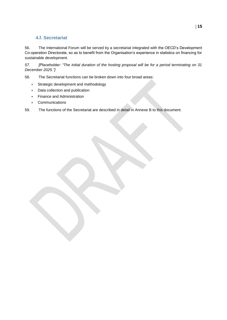#### **4.f. Secretariat**

<span id="page-14-0"></span>56. The International Forum will be served by a secretariat integrated with the OECD's Development Co-operation Directorate, so as to benefit from the Organisation's experience in statistics on financing for sustainable development.

*57. [Placeholder: "The initial duration of the hosting proposal will be for a period terminating on 31 December 2025."]*

58. The Secretariat functions can be broken down into four broad areas:

- **Strategic development and methodology**
- Data collection and publication
- Finance and Administration
- **Communications**

59. The functions of the Secretariat are described in detail in [Annexe B](#page-18-0) to this document.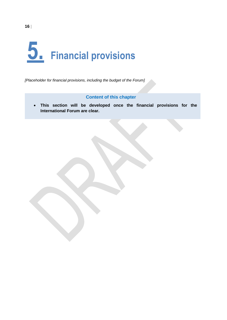# <span id="page-15-0"></span>**5. Financial provisions**

*[Placeholder for financial provisions, including the budget of the Forum]* 

#### **Content of this chapter**

 **This section will be developed once the financial provisions for the International Forum are clear.**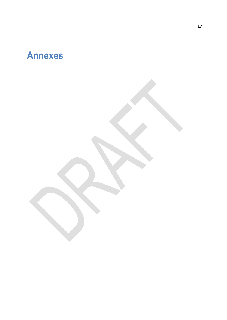### <span id="page-16-0"></span>**Annexes**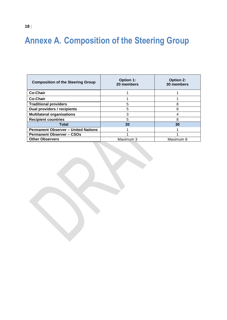### <span id="page-17-0"></span>**Annexe A. Composition of the Steering Group**

| <b>Composition of the Steering Group</b>   | <b>Option 1:</b><br>20 members | <b>Option 2:</b><br>30 members |
|--------------------------------------------|--------------------------------|--------------------------------|
| <b>Co-Chair</b>                            |                                |                                |
| Co-Chair                                   |                                |                                |
| <b>Traditional providers</b>               | 5                              | 8                              |
| Dual providers / recipients                |                                |                                |
| <b>Multilateral organisations</b>          | 3                              |                                |
| <b>Recipient countries</b>                 | 5                              | 8                              |
| Total                                      | 20                             | 30                             |
| <b>Permanent Observer - United Nations</b> |                                |                                |
| <b>Permanent Observer - CSOs</b>           |                                |                                |
| <b>Other Observers</b>                     | Maximum 3                      | Maximum 8                      |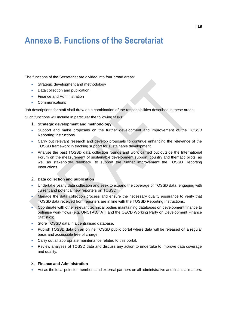### <span id="page-18-0"></span>**Annexe B. Functions of the Secretariat**

The functions of the Secretariat are divided into four broad areas:

- Strategic development and methodology
- Data collection and publication
- Finance and Administration
- **Communications**

Job descriptions for staff shall draw on a combination of the responsibilities described in these areas.

Such functions will include in particular the following tasks:

- 1. **Strategic development and methodology**
- Support and make proposals on the further development and improvement of the TOSSD Reporting Instructions.
- Carry out relevant research and develop proposals to continue enhancing the relevance of the TOSSD framework in tracking support for sustainable development.
- Analyse the past TOSSD data collection rounds and work carried out outside the International Forum on the measurement of sustainable development support, country and thematic pilots, as well as stakeholder feedback, to support the further improvement the TOSSD Reporting Instructions.

#### 2. **Data collection and publication**

- Undertake yearly data collection and seek to expand the coverage of TOSSD data, engaging with current and potential new reporters on TOSSD.
- Manage the data collection process and ensure the necessary quality assurance to verify that TOSSD data received from reporters are in line with the TOSSD Reporting Instructions.
- Coordinate with other relevant technical bodies maintaining databases on development finance to optimise work flows (e.g. UNCTAD, IATI and the OECD Working Party on Development Finance Statistics).
- Store TOSSD data in a centralised database.
- Publish TOSSD data on an online TOSSD public portal where data will be released on a regular basis and accessible free of charge.
- Carry out all appropriate maintenance related to this portal.
- Review analyses of TOSSD data and discuss any action to undertake to improve data coverage and quality.

#### 3. **Finance and Administration**

Act as the focal point for members and external partners on all administrative and financial matters.